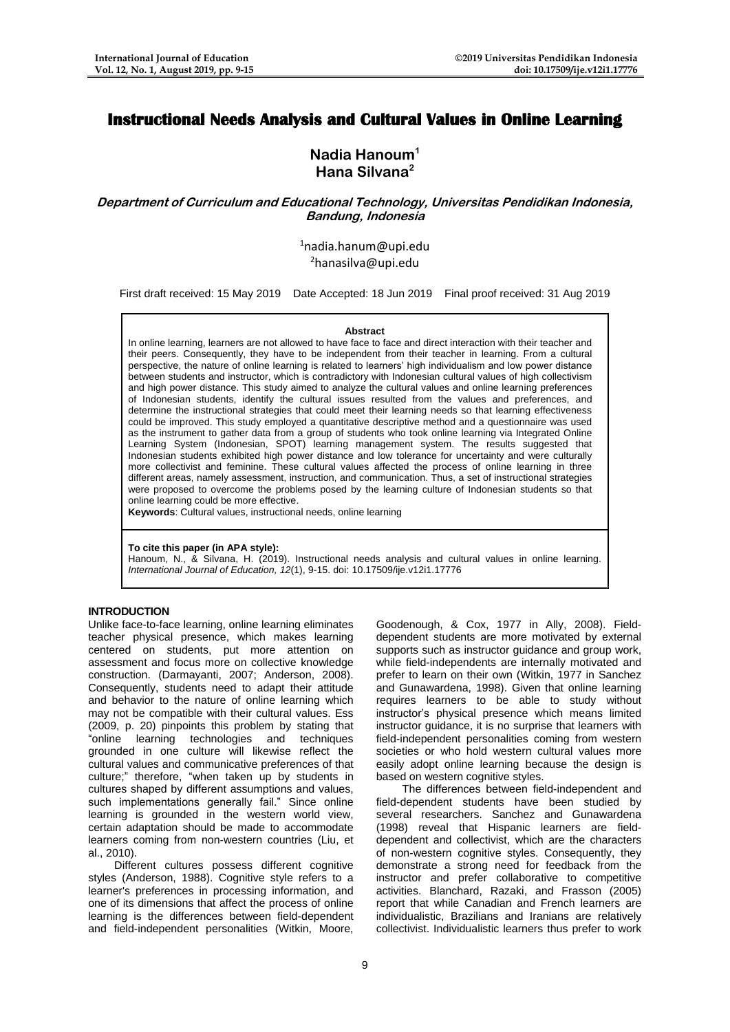# **Instructional Needs Analysis and Cultural Values in Online Learning**

## **Nadia Hanoum<sup>1</sup> Hana Silvana<sup>2</sup>**

**Department of Curriculum and Educational Technology, Universitas Pendidikan Indonesia, Bandung, Indonesia**

> $1$ [nadia.hanum@upi.edu](mailto:nadia.hanum@upi.edu)  $2$ [hanasilva@upi.edu](mailto:hanasilva@upi.edu)

First draft received: 15 May 2019 Date Accepted: 18 Jun 2019 Final proof received: 31 Aug 2019

#### **Abstract**

In online learning, learners are not allowed to have face to face and direct interaction with their teacher and their peers. Consequently, they have to be independent from their teacher in learning. From a cultural perspective, the nature of online learning is related to learners' high individualism and low power distance between students and instructor, which is contradictory with Indonesian cultural values of high collectivism and high power distance. This study aimed to analyze the cultural values and online learning preferences of Indonesian students, identify the cultural issues resulted from the values and preferences, and determine the instructional strategies that could meet their learning needs so that learning effectiveness could be improved. This study employed a quantitative descriptive method and a questionnaire was used as the instrument to gather data from a group of students who took online learning via Integrated Online Learning System (Indonesian, SPOT) learning management system. The results suggested that Indonesian students exhibited high power distance and low tolerance for uncertainty and were culturally more collectivist and feminine. These cultural values affected the process of online learning in three different areas, namely assessment, instruction, and communication. Thus, a set of instructional strategies were proposed to overcome the problems posed by the learning culture of Indonesian students so that online learning could be more effective.

**Keywords**: Cultural values, instructional needs, online learning

#### **To cite this paper (in APA style):**

Hanoum, N., & Silvana, H. (2019). Instructional needs analysis and cultural values in online learning. *International Journal of Education, 12*(1), 9-15. doi: 10.17509/ije.v12i1.17776

#### **INTRODUCTION**

Unlike face-to-face learning, online learning eliminates teacher physical presence, which makes learning centered on students, put more attention on assessment and focus more on collective knowledge construction. (Darmayanti, 2007; Anderson, 2008). Consequently, students need to adapt their attitude and behavior to the nature of online learning which may not be compatible with their cultural values. Ess (2009, p. 20) pinpoints this problem by stating that "online learning technologies and techniques grounded in one culture will likewise reflect the cultural values and communicative preferences of that culture;" therefore, "when taken up by students in cultures shaped by different assumptions and values, such implementations generally fail." Since online learning is grounded in the western world view, certain adaptation should be made to accommodate learners coming from non-western countries (Liu, et al., 2010).

Different cultures possess different cognitive styles (Anderson, 1988). Cognitive style refers to a learner's preferences in processing information, and one of its dimensions that affect the process of online learning is the differences between field-dependent and field-independent personalities (Witkin, Moore,

Goodenough, & Cox, 1977 in Ally, 2008). Fielddependent students are more motivated by external supports such as instructor guidance and group work, while field-independents are internally motivated and prefer to learn on their own (Witkin, 1977 in Sanchez and Gunawardena, 1998). Given that online learning requires learners to be able to study without instructor's physical presence which means limited instructor guidance, it is no surprise that learners with field-independent personalities coming from western societies or who hold western cultural values more easily adopt online learning because the design is based on western cognitive styles.

The differences between field-independent and field-dependent students have been studied by several researchers. Sanchez and Gunawardena (1998) reveal that Hispanic learners are fielddependent and collectivist, which are the characters of non-western cognitive styles. Consequently, they demonstrate a strong need for feedback from the instructor and prefer collaborative to competitive activities. Blanchard, Razaki, and Frasson (2005) report that while Canadian and French learners are individualistic, Brazilians and Iranians are relatively collectivist. Individualistic learners thus prefer to work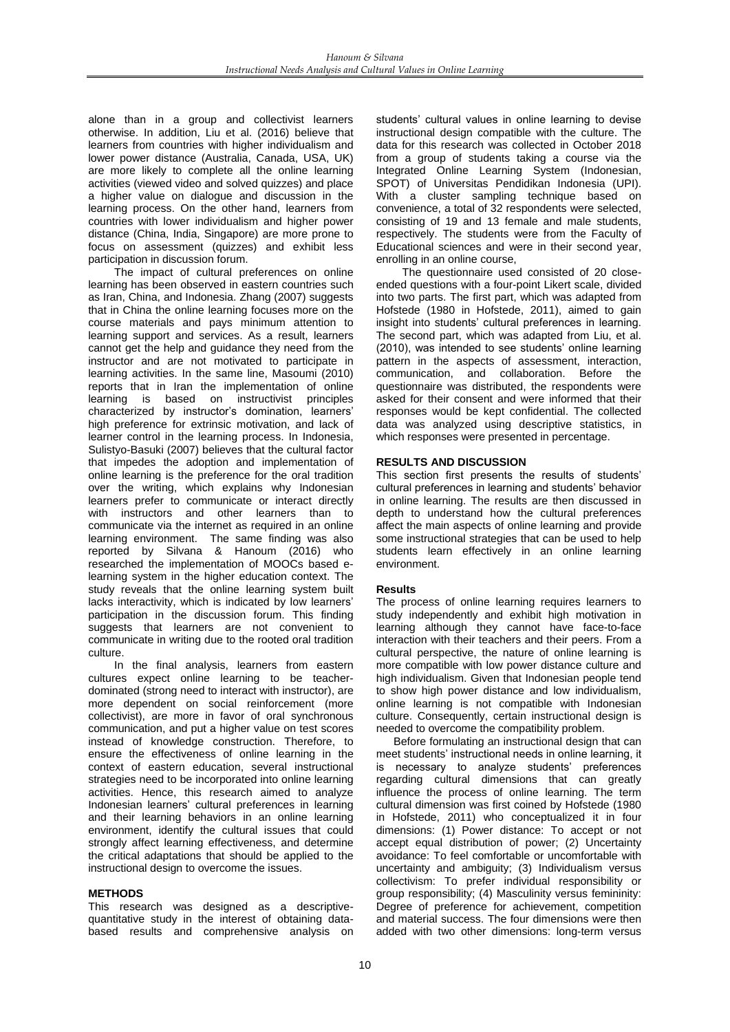alone than in a group and collectivist learners otherwise. In addition, Liu et al. (2016) believe that learners from countries with higher individualism and lower power distance (Australia, Canada, USA, UK) are more likely to complete all the online learning activities (viewed video and solved quizzes) and place a higher value on dialogue and discussion in the learning process. On the other hand, learners from countries with lower individualism and higher power distance (China, India, Singapore) are more prone to focus on assessment (quizzes) and exhibit less participation in discussion forum.

The impact of cultural preferences on online learning has been observed in eastern countries such as Iran, China, and Indonesia. Zhang (2007) suggests that in China the online learning focuses more on the course materials and pays minimum attention to learning support and services. As a result, learners cannot get the help and guidance they need from the instructor and are not motivated to participate in learning activities. In the same line, Masoumi (2010) reports that in Iran the implementation of online learning is based on instructivist principles characterized by instructor's domination, learners' high preference for extrinsic motivation, and lack of learner control in the learning process. In Indonesia, Sulistyo-Basuki (2007) believes that the cultural factor that impedes the adoption and implementation of online learning is the preference for the oral tradition over the writing, which explains why Indonesian learners prefer to communicate or interact directly with instructors and other learners than to communicate via the internet as required in an online learning environment. The same finding was also reported by Silvana & Hanoum (2016) who researched the implementation of MOOCs based elearning system in the higher education context. The study reveals that the online learning system built lacks interactivity, which is indicated by low learners' participation in the discussion forum. This finding suggests that learners are not convenient to communicate in writing due to the rooted oral tradition culture.

In the final analysis, learners from eastern cultures expect online learning to be teacherdominated (strong need to interact with instructor), are more dependent on social reinforcement (more collectivist), are more in favor of oral synchronous communication, and put a higher value on test scores instead of knowledge construction. Therefore, to ensure the effectiveness of online learning in the context of eastern education, several instructional strategies need to be incorporated into online learning activities. Hence, this research aimed to analyze Indonesian learners' cultural preferences in learning and their learning behaviors in an online learning environment, identify the cultural issues that could strongly affect learning effectiveness, and determine the critical adaptations that should be applied to the instructional design to overcome the issues.

#### **METHODS**

This research was designed as a descriptivequantitative study in the interest of obtaining databased results and comprehensive analysis on students' cultural values in online learning to devise instructional design compatible with the culture. The data for this research was collected in October 2018 from a group of students taking a course via the Integrated Online Learning System (Indonesian, SPOT) of Universitas Pendidikan Indonesia (UPI). With a cluster sampling technique based on convenience, a total of 32 respondents were selected, consisting of 19 and 13 female and male students, respectively. The students were from the Faculty of Educational sciences and were in their second year, enrolling in an online course,

The questionnaire used consisted of 20 closeended questions with a four-point Likert scale, divided into two parts. The first part, which was adapted from Hofstede (1980 in Hofstede, 2011), aimed to gain insight into students' cultural preferences in learning. The second part, which was adapted from Liu, et al. (2010), was intended to see students' online learning pattern in the aspects of assessment, interaction, communication, and collaboration. Before the questionnaire was distributed, the respondents were asked for their consent and were informed that their responses would be kept confidential. The collected data was analyzed using descriptive statistics, in which responses were presented in percentage.

#### **RESULTS AND DISCUSSION**

This section first presents the results of students' cultural preferences in learning and students' behavior in online learning. The results are then discussed in depth to understand how the cultural preferences affect the main aspects of online learning and provide some instructional strategies that can be used to help students learn effectively in an online learning environment.

#### **Results**

The process of online learning requires learners to study independently and exhibit high motivation in learning although they cannot have face-to-face interaction with their teachers and their peers. From a cultural perspective, the nature of online learning is more compatible with low power distance culture and high individualism. Given that Indonesian people tend to show high power distance and low individualism, online learning is not compatible with Indonesian culture. Consequently, certain instructional design is needed to overcome the compatibility problem.

Before formulating an instructional design that can meet students' instructional needs in online learning, it is necessary to analyze students' preferences regarding cultural dimensions that can greatly influence the process of online learning. The term cultural dimension was first coined by Hofstede (1980 in Hofstede, 2011) who conceptualized it in four dimensions: (1) Power distance: To accept or not accept equal distribution of power; (2) Uncertainty avoidance: To feel comfortable or uncomfortable with uncertainty and ambiguity; (3) Individualism versus collectivism: To prefer individual responsibility or group responsibility; (4) Masculinity versus femininity: Degree of preference for achievement, competition and material success. The four dimensions were then added with two other dimensions: long-term versus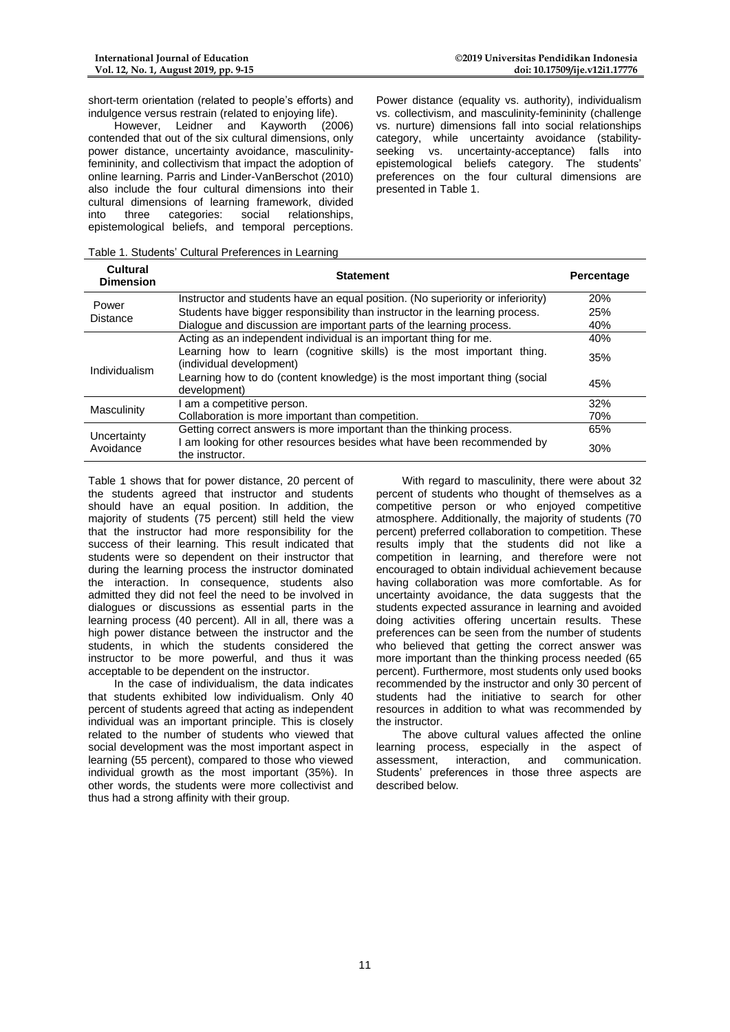**Cultural** 

short-term orientation (related to people's efforts) and indulgence versus restrain (related to enjoying life).

However, Leidner and Kayworth (2006) contended that out of the six cultural dimensions, only power distance, uncertainty avoidance, masculinityfemininity, and collectivism that impact the adoption of online learning. Parris and Linder-VanBerschot (2010) also include the four cultural dimensions into their cultural dimensions of learning framework, divided<br>into three categories: social relationships. into three categories: social relationships, epistemological beliefs, and temporal perceptions.

Power distance (equality vs. authority), individualism vs. collectivism, and masculinity-femininity (challenge vs. nurture) dimensions fall into social relationships category, while uncertainty avoidance (stabilityseeking vs. uncertainty-acceptance) falls into epistemological beliefs category. The students' preferences on the four cultural dimensions are presented in Table 1.

Table 1. Students' Cultural Preferences in Learning

| Cultural<br><b>Dimension</b> | <b>Statement</b>                                                                                  | Percentage |
|------------------------------|---------------------------------------------------------------------------------------------------|------------|
|                              | Instructor and students have an equal position. (No superiority or inferiority)                   | 20%        |
| Power<br><b>Distance</b>     | Students have bigger responsibility than instructor in the learning process.                      | 25%        |
|                              | Dialogue and discussion are important parts of the learning process.                              | 40%        |
|                              | Acting as an independent individual is an important thing for me.                                 | 40%        |
| Individualism                | Learning how to learn (cognitive skills) is the most important thing.<br>(individual development) | 35%        |
|                              | Learning how to do (content knowledge) is the most important thing (social<br>development)        | 45%        |
| Masculinity                  | am a competitive person.                                                                          | 32%        |
|                              | Collaboration is more important than competition.                                                 | 70%        |
| Uncertainty<br>Avoidance     | Getting correct answers is more important than the thinking process.                              | 65%        |
|                              | am looking for other resources besides what have been recommended by<br>the instructor.           | 30%        |

Table 1 shows that for power distance, 20 percent of the students agreed that instructor and students should have an equal position. In addition, the majority of students (75 percent) still held the view that the instructor had more responsibility for the success of their learning. This result indicated that students were so dependent on their instructor that during the learning process the instructor dominated the interaction. In consequence, students also admitted they did not feel the need to be involved in dialogues or discussions as essential parts in the learning process (40 percent). All in all, there was a high power distance between the instructor and the students, in which the students considered the instructor to be more powerful, and thus it was acceptable to be dependent on the instructor.

In the case of individualism, the data indicates that students exhibited low individualism. Only 40 percent of students agreed that acting as independent individual was an important principle. This is closely related to the number of students who viewed that social development was the most important aspect in learning (55 percent), compared to those who viewed individual growth as the most important (35%). In other words, the students were more collectivist and thus had a strong affinity with their group.

With regard to masculinity, there were about 32 percent of students who thought of themselves as a competitive person or who enjoyed competitive atmosphere. Additionally, the majority of students (70 percent) preferred collaboration to competition. These results imply that the students did not like a competition in learning, and therefore were not encouraged to obtain individual achievement because having collaboration was more comfortable. As for uncertainty avoidance, the data suggests that the students expected assurance in learning and avoided doing activities offering uncertain results. These preferences can be seen from the number of students who believed that getting the correct answer was more important than the thinking process needed (65 percent). Furthermore, most students only used books recommended by the instructor and only 30 percent of students had the initiative to search for other resources in addition to what was recommended by the instructor.

The above cultural values affected the online learning process, especially in the aspect of assessment, interaction, and communication. Students' preferences in those three aspects are described below.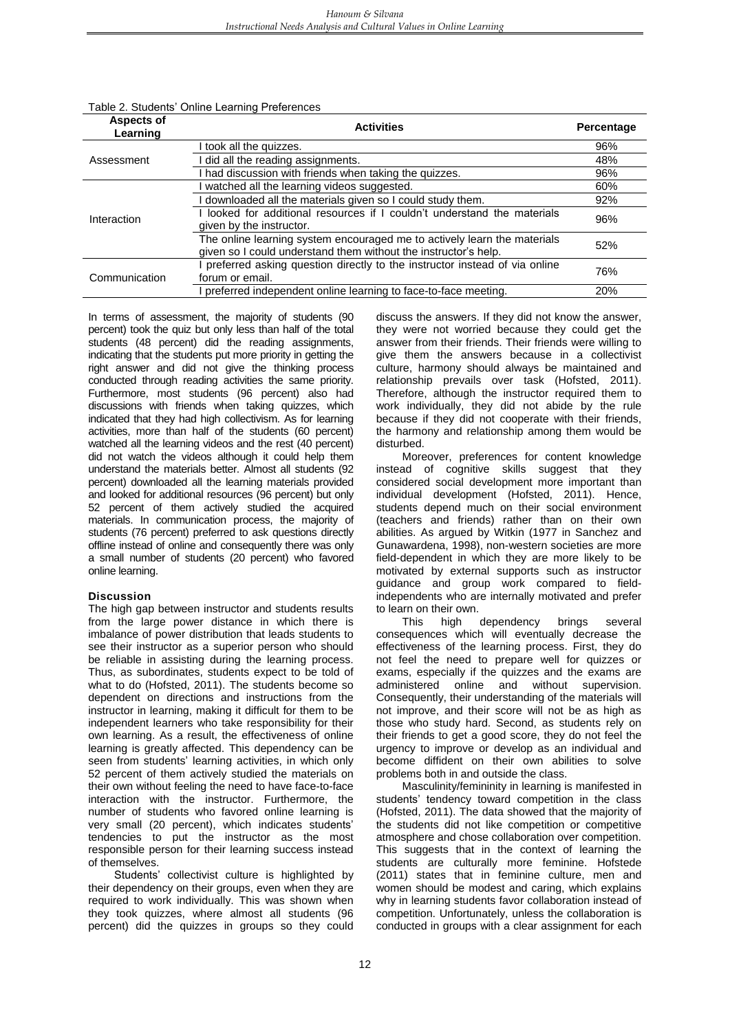| <b>Aspects of</b><br>Learning | <b>Activities</b>                                                                                                                           | Percentage |
|-------------------------------|---------------------------------------------------------------------------------------------------------------------------------------------|------------|
|                               | I took all the quizzes.                                                                                                                     | 96%        |
| Assessment                    | I did all the reading assignments.                                                                                                          | 48%        |
|                               | I had discussion with friends when taking the quizzes.                                                                                      | 96%        |
|                               | watched all the learning videos suggested.                                                                                                  | 60%        |
|                               | I downloaded all the materials given so I could study them.                                                                                 | 92%        |
| Interaction                   | looked for additional resources if I couldn't understand the materials<br>given by the instructor.                                          | 96%        |
|                               | The online learning system encouraged me to actively learn the materials<br>given so I could understand them without the instructor's help. | 52%        |
| Communication                 | preferred asking question directly to the instructor instead of via online<br>forum or email.                                               | 76%        |
|                               | preferred independent online learning to face-to-face meeting.                                                                              | 20%        |

#### Table 2. Students' Online Learning Preferences

In terms of assessment, the majority of students (90 percent) took the quiz but only less than half of the total students (48 percent) did the reading assignments, indicating that the students put more priority in getting the right answer and did not give the thinking process conducted through reading activities the same priority. Furthermore, most students (96 percent) also had discussions with friends when taking quizzes, which indicated that they had high collectivism. As for learning activities, more than half of the students (60 percent) watched all the learning videos and the rest (40 percent) did not watch the videos although it could help them understand the materials better. Almost all students (92 percent) downloaded all the learning materials provided and looked for additional resources (96 percent) but only 52 percent of them actively studied the acquired materials. In communication process, the majority of students (76 percent) preferred to ask questions directly offline instead of online and consequently there was only a small number of students (20 percent) who favored online learning.

#### **Discussion**

The high gap between instructor and students results from the large power distance in which there is imbalance of power distribution that leads students to see their instructor as a superior person who should be reliable in assisting during the learning process. Thus, as subordinates, students expect to be told of what to do (Hofsted, 2011). The students become so dependent on directions and instructions from the instructor in learning, making it difficult for them to be independent learners who take responsibility for their own learning. As a result, the effectiveness of online learning is greatly affected. This dependency can be seen from students' learning activities, in which only 52 percent of them actively studied the materials on their own without feeling the need to have face-to-face interaction with the instructor. Furthermore, the number of students who favored online learning is very small (20 percent), which indicates students' tendencies to put the instructor as the most responsible person for their learning success instead of themselves.

Students' collectivist culture is highlighted by their dependency on their groups, even when they are required to work individually. This was shown when they took quizzes, where almost all students (96 percent) did the quizzes in groups so they could discuss the answers. If they did not know the answer, they were not worried because they could get the answer from their friends. Their friends were willing to give them the answers because in a collectivist culture, harmony should always be maintained and relationship prevails over task (Hofsted, 2011). Therefore, although the instructor required them to work individually, they did not abide by the rule because if they did not cooperate with their friends, the harmony and relationship among them would be disturbed.

Moreover, preferences for content knowledge instead of cognitive skills suggest that they considered social development more important than individual development (Hofsted, 2011). Hence, students depend much on their social environment (teachers and friends) rather than on their own abilities. As argued by Witkin (1977 in Sanchez and Gunawardena, 1998), non-western societies are more field-dependent in which they are more likely to be motivated by external supports such as instructor guidance and group work compared to fieldindependents who are internally motivated and prefer to learn on their own.

This high dependency brings several consequences which will eventually decrease the effectiveness of the learning process. First, they do not feel the need to prepare well for quizzes or exams, especially if the quizzes and the exams are administered online and without supervision. Consequently, their understanding of the materials will not improve, and their score will not be as high as those who study hard. Second, as students rely on their friends to get a good score, they do not feel the urgency to improve or develop as an individual and become diffident on their own abilities to solve problems both in and outside the class.

Masculinity/femininity in learning is manifested in students' tendency toward competition in the class (Hofsted, 2011). The data showed that the majority of the students did not like competition or competitive atmosphere and chose collaboration over competition. This suggests that in the context of learning the students are culturally more feminine. Hofstede (2011) states that in feminine culture, men and women should be modest and caring, which explains why in learning students favor collaboration instead of competition. Unfortunately, unless the collaboration is conducted in groups with a clear assignment for each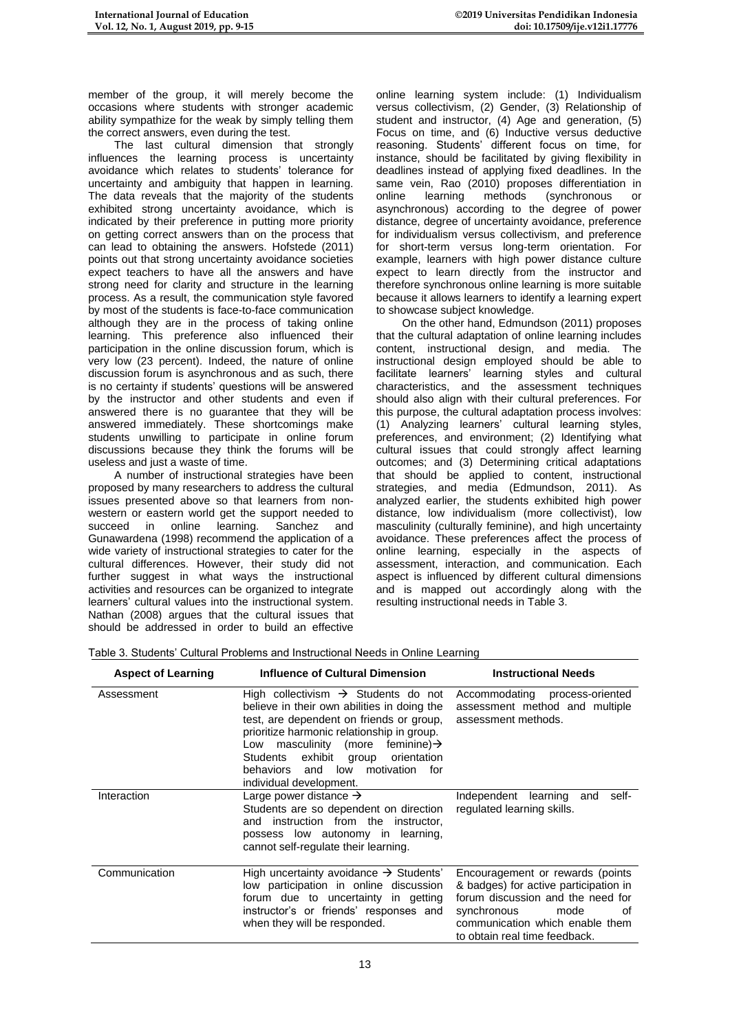member of the group, it will merely become the occasions where students with stronger academic ability sympathize for the weak by simply telling them the correct answers, even during the test.

The last cultural dimension that strongly influences the learning process is uncertainty avoidance which relates to students' tolerance for uncertainty and ambiguity that happen in learning. The data reveals that the majority of the students exhibited strong uncertainty avoidance, which is indicated by their preference in putting more priority on getting correct answers than on the process that can lead to obtaining the answers. Hofstede (2011) points out that strong uncertainty avoidance societies expect teachers to have all the answers and have strong need for clarity and structure in the learning process. As a result, the communication style favored by most of the students is face-to-face communication although they are in the process of taking online learning. This preference also influenced their participation in the online discussion forum, which is very low (23 percent). Indeed, the nature of online discussion forum is asynchronous and as such, there is no certainty if students' questions will be answered by the instructor and other students and even if answered there is no guarantee that they will be answered immediately. These shortcomings make students unwilling to participate in online forum discussions because they think the forums will be useless and just a waste of time.

A number of instructional strategies have been proposed by many researchers to address the cultural issues presented above so that learners from nonwestern or eastern world get the support needed to succeed in online learning. Sanchez and Gunawardena (1998) recommend the application of a wide variety of instructional strategies to cater for the cultural differences. However, their study did not further suggest in what ways the instructional activities and resources can be organized to integrate learners' cultural values into the instructional system. Nathan (2008) argues that the cultural issues that should be addressed in order to build an effective

online learning system include: (1) Individualism versus collectivism, (2) Gender, (3) Relationship of student and instructor, (4) Age and generation, (5) Focus on time, and (6) Inductive versus deductive reasoning. Students' different focus on time, for instance, should be facilitated by giving flexibility in deadlines instead of applying fixed deadlines. In the same vein, Rao (2010) proposes differentiation in online learning methods (synchronous or online learning methods (synchronous or asynchronous) according to the degree of power distance, degree of uncertainty avoidance, preference for individualism versus collectivism, and preference for short-term versus long-term orientation. For example, learners with high power distance culture expect to learn directly from the instructor and therefore synchronous online learning is more suitable because it allows learners to identify a learning expert to showcase subject knowledge.

On the other hand, Edmundson (2011) proposes that the cultural adaptation of online learning includes content, instructional design, and media. The instructional design employed should be able to facilitate learners' learning styles and cultural characteristics, and the assessment techniques should also align with their cultural preferences. For this purpose, the cultural adaptation process involves: (1) Analyzing learners' cultural learning styles, preferences, and environment; (2) Identifying what cultural issues that could strongly affect learning outcomes; and (3) Determining critical adaptations that should be applied to content, instructional strategies, and media (Edmundson, 2011). As analyzed earlier, the students exhibited high power distance, low individualism (more collectivist), low masculinity (culturally feminine), and high uncertainty avoidance. These preferences affect the process of online learning, especially in the aspects of assessment, interaction, and communication. Each aspect is influenced by different cultural dimensions and is mapped out accordingly along with the resulting instructional needs in Table 3.

| Table 3. Students' Cultural Problems and Instructional Needs in Online Learning |  |
|---------------------------------------------------------------------------------|--|
|                                                                                 |  |

| <b>Aspect of Learning</b> | Influence of Cultural Dimension                                                                                                                                                                                                                                                                                                                               | <b>Instructional Needs</b>                                                                                                                                                                                      |  |
|---------------------------|---------------------------------------------------------------------------------------------------------------------------------------------------------------------------------------------------------------------------------------------------------------------------------------------------------------------------------------------------------------|-----------------------------------------------------------------------------------------------------------------------------------------------------------------------------------------------------------------|--|
| Assessment                | High collectivism $\rightarrow$ Students do not<br>believe in their own abilities in doing the<br>test, are dependent on friends or group,<br>prioritize harmonic relationship in group.<br>masculinity (more feminine) $\rightarrow$<br>Low<br>exhibit<br>group orientation<br>Students<br>low<br>motivation for<br>behaviors and<br>individual development. | Accommodating process-oriented<br>assessment method and multiple<br>assessment methods.                                                                                                                         |  |
| Interaction               | Large power distance $\rightarrow$<br>Students are so dependent on direction<br>and instruction from the instructor.<br>possess low autonomy in learning,<br>cannot self-regulate their learning.                                                                                                                                                             | Independent<br>learning<br>self-<br>and<br>regulated learning skills.                                                                                                                                           |  |
| Communication             | High uncertainty avoidance $\rightarrow$ Students'<br>low participation in online discussion<br>forum due to uncertainty in getting<br>instructor's or friends' responses and<br>when they will be responded.                                                                                                                                                 | Encouragement or rewards (points<br>& badges) for active participation in<br>forum discussion and the need for<br>synchronous<br>mode<br>οf<br>communication which enable them<br>to obtain real time feedback. |  |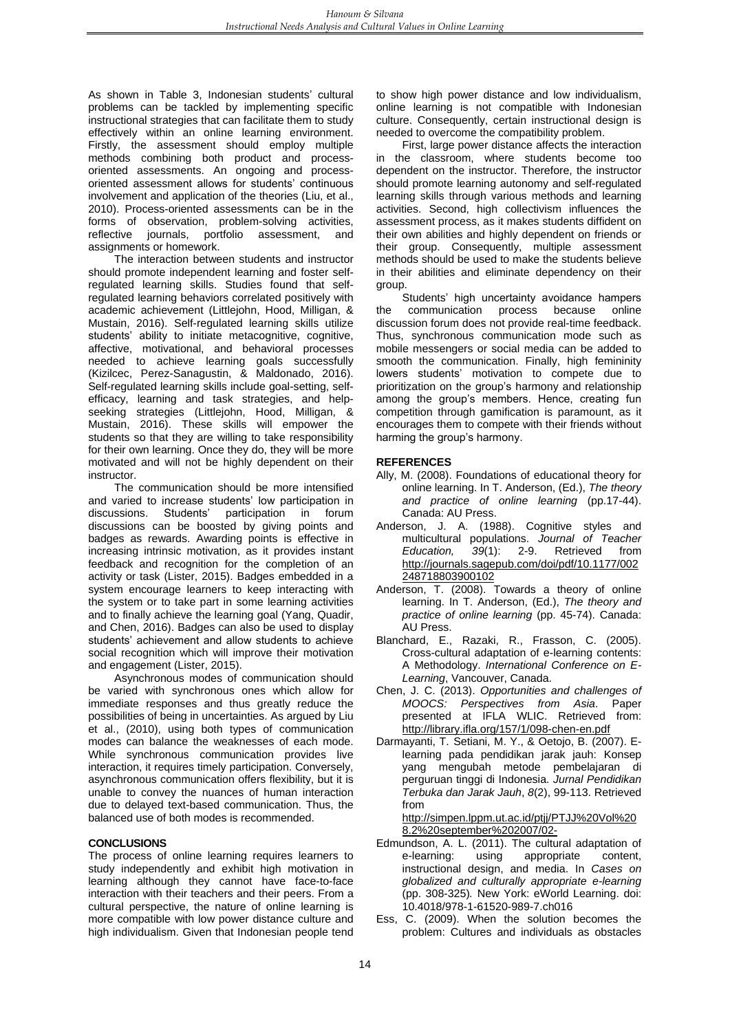As shown in Table 3, Indonesian students' cultural problems can be tackled by implementing specific instructional strategies that can facilitate them to study effectively within an online learning environment. Firstly, the assessment should employ multiple methods combining both product and processoriented assessments. An ongoing and processoriented assessment allows for students' continuous involvement and application of the theories (Liu, et al., 2010). Process-oriented assessments can be in the forms of observation, problem-solving activities, reflective journals, portfolio assessment, assignments or homework.

The interaction between students and instructor should promote independent learning and foster selfregulated learning skills. Studies found that selfregulated learning behaviors correlated positively with academic achievement (Littlejohn, Hood, Milligan, & Mustain, 2016). Self-regulated learning skills utilize students' ability to initiate metacognitive, cognitive, affective, motivational, and behavioral processes needed to achieve learning goals successfully (Kizilcec, Perez-Sanagustin, & Maldonado, 2016). Self-regulated learning skills include goal-setting, selfefficacy, learning and task strategies, and helpseeking strategies (Littlejohn, Hood, Milligan, & Mustain, 2016). These skills will empower the students so that they are willing to take responsibility for their own learning. Once they do, they will be more motivated and will not be highly dependent on their instructor.

The communication should be more intensified and varied to increase students' low participation in discussions. Students' participation in forum discussions can be boosted by giving points and badges as rewards. Awarding points is effective in increasing intrinsic motivation, as it provides instant feedback and recognition for the completion of an activity or task (Lister, 2015). Badges embedded in a system encourage learners to keep interacting with the system or to take part in some learning activities and to finally achieve the learning goal (Yang, Quadir, and Chen, 2016). Badges can also be used to display students' achievement and allow students to achieve social recognition which will improve their motivation and engagement (Lister, 2015).

Asynchronous modes of communication should be varied with synchronous ones which allow for immediate responses and thus greatly reduce the possibilities of being in uncertainties. As argued by Liu et al., (2010), using both types of communication modes can balance the weaknesses of each mode. While synchronous communication provides live interaction, it requires timely participation. Conversely, asynchronous communication offers flexibility, but it is unable to convey the nuances of human interaction due to delayed text-based communication. Thus, the balanced use of both modes is recommended.

### **CONCLUSIONS**

The process of online learning requires learners to study independently and exhibit high motivation in learning although they cannot have face-to-face interaction with their teachers and their peers. From a cultural perspective, the nature of online learning is more compatible with low power distance culture and high individualism. Given that Indonesian people tend

to show high power distance and low individualism, online learning is not compatible with Indonesian culture. Consequently, certain instructional design is needed to overcome the compatibility problem.

First, large power distance affects the interaction in the classroom, where students become too dependent on the instructor. Therefore, the instructor should promote learning autonomy and self-regulated learning skills through various methods and learning activities. Second, high collectivism influences the assessment process, as it makes students diffident on their own abilities and highly dependent on friends or their group. Consequently, multiple assessment methods should be used to make the students believe in their abilities and eliminate dependency on their group.

Students' high uncertainty avoidance hampers the communication process because online discussion forum does not provide real-time feedback. Thus, synchronous communication mode such as mobile messengers or social media can be added to smooth the communication. Finally, high femininity lowers students' motivation to compete due to prioritization on the group's harmony and relationship among the group's members. Hence, creating fun competition through gamification is paramount, as it encourages them to compete with their friends without harming the group's harmony.

#### **REFERENCES**

- Ally, M. (2008). Foundations of educational theory for online learning. In T. Anderson, (Ed.), *The theory and practice of online learning* (pp.17-44). Canada: AU Press.
- Anderson, J. A. (1988). Cognitive styles and multicultural populations. *Journal of Teacher Education, 39*(1): 2-9. Retrieved from [http://journals.sagepub.com/doi/pdf/10.1177/002](http://journals.sagepub.com/doi/pdf/10.1177/002248718803900102) [248718803900102](http://journals.sagepub.com/doi/pdf/10.1177/002248718803900102)
- Anderson, T. (2008). Towards a theory of online learning. In T. Anderson, (Ed.), *The theory and practice of online learning* (pp. 45-74). Canada: AU Press.
- Blanchard, E., Razaki, R., Frasson, C. (2005). Cross-cultural adaptation of e-learning contents: A Methodology. *International Conference on E-Learning*, Vancouver, Canada.
- Chen, J. C. (2013). *Opportunities and challenges of MOOCS: Perspectives from Asia*. Paper presented at IFLA WLIC. Retrieved from: <http://library.ifla.org/157/1/098-chen-en.pdf>
- Darmayanti, T. Setiani, M. Y., & Oetojo, B. (2007). Elearning pada pendidikan jarak jauh: Konsep yang mengubah metode pembelajaran di perguruan tinggi di Indonesia. *Jurnal Pendidikan Terbuka dan Jarak Jauh*, *8*(2), 99-113. Retrieved from

[http://simpen.lppm.ut.ac.id/ptjj/PTJJ%20Vol%20](http://simpen.lppm.ut.ac.id/ptjj/PTJJ%20Vol%208.2%20september%202007/02-tridarmayanti.pdf) [8.2%20september%202007/02-](http://simpen.lppm.ut.ac.id/ptjj/PTJJ%20Vol%208.2%20september%202007/02-tridarmayanti.pdf)

- Edmundson, A. L. (2011). The cultural adaptation of e-learning: using appropriate content, instructional design, and media. In *Cases on globalized and culturally appropriate e-learning* (pp. 308-325)*.* New York: eWorld Learning. doi: 10.4018/978-1-61520-989-7.ch016
- Ess, C. (2009). When the solution becomes the problem: Cultures and individuals as obstacles